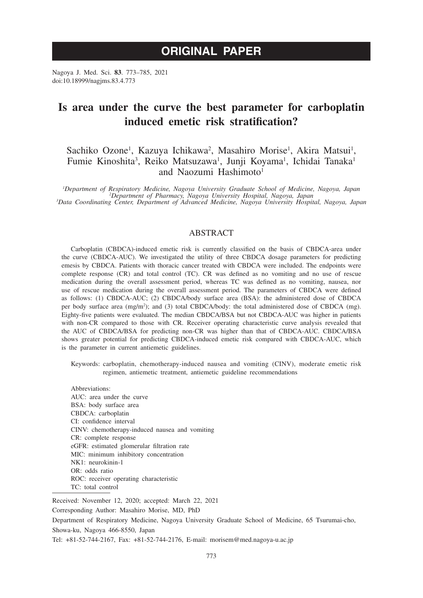# **ORIGINAL PAPER**

Nagoya J. Med. Sci. **83**. 773–785, 2021 doi:10.18999/nagjms.83.4.773

## **Is area under the curve the best parameter for carboplatin induced emetic risk stratification?**

## Sachiko Ozone<sup>1</sup>, Kazuya Ichikawa<sup>2</sup>, Masahiro Morise<sup>1</sup>, Akira Matsui<sup>1</sup>, Fumie Kinoshita<sup>3</sup>, Reiko Matsuzawa<sup>1</sup>, Junji Koyama<sup>1</sup>, Ichidai Tanaka<sup>1</sup> and Naozumi Hashimoto<sup>1</sup>

<sup>1</sup>Department of Respiratory Medicine, Nagoya University Graduate School of Medicine, Nagoya, Japan <sup>1</sup>Department of Respiratory Medicine, Nagoya University Graduate School of Medicine, Nagoya, Japan<sup>2</sup><br><sup>2</sup>Department of Pharmacy, Nagoya University Hospital, Nagoya, Japan<sup>3</sup>Data Coordinating Center, Department of Advanced

### ABSTRACT

Carboplatin (CBDCA)-induced emetic risk is currently classified on the basis of CBDCA-area under the curve (CBDCA-AUC). We investigated the utility of three CBDCA dosage parameters for predicting emesis by CBDCA. Patients with thoracic cancer treated with CBDCA were included. The endpoints were complete response (CR) and total control (TC). CR was defined as no vomiting and no use of rescue medication during the overall assessment period, whereas TC was defined as no vomiting, nausea, nor use of rescue medication during the overall assessment period. The parameters of CBDCA were defined as follows: (1) CBDCA-AUC; (2) CBDCA/body surface area (BSA): the administered dose of CBDCA per body surface area (mg/m<sup>2</sup>); and (3) total CBDCA/body: the total administered dose of CBDCA (mg). Eighty-five patients were evaluated. The median CBDCA/BSA but not CBDCA-AUC was higher in patients with non-CR compared to those with CR. Receiver operating characteristic curve analysis revealed that the AUC of CBDCA/BSA for predicting non-CR was higher than that of CBDCA-AUC. CBDCA/BSA shows greater potential for predicting CBDCA-induced emetic risk compared with CBDCA-AUC, which is the parameter in current antiemetic guidelines.

Keywords: carboplatin, chemotherapy-induced nausea and vomiting (CINV), moderate emetic risk regimen, antiemetic treatment, antiemetic guideline recommendations

Abbreviations: AUC: area under the curve BSA: body surface area CBDCA: carboplatin CI: confidence interval CINV: chemotherapy-induced nausea and vomiting CR: complete response eGFR: estimated glomerular filtration rate MIC: minimum inhibitory concentration NK1: neurokinin-1 OR: odds ratio ROC: receiver operating characteristic TC: total control

Received: November 12, 2020; accepted: March 22, 2021

Corresponding Author: Masahiro Morise, MD, PhD

Department of Respiratory Medicine, Nagoya University Graduate School of Medicine, 65 Tsurumai-cho, Showa-ku, Nagoya 466-8550, Japan

Tel: +81-52-744-2167, Fax: +81-52-744-2176, E-mail: morisem@med.nagoya-u.ac.jp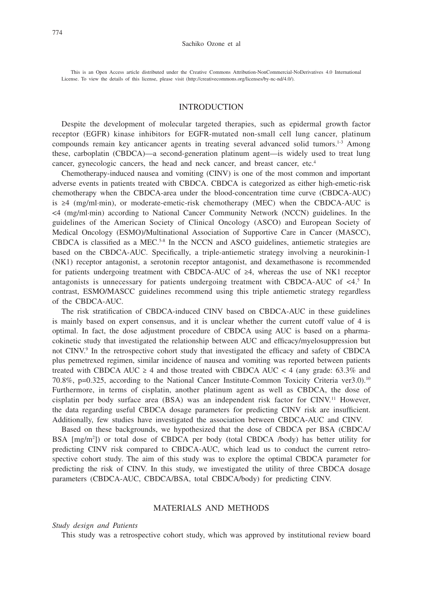This is an Open Access article distributed under the Creative Commons Attribution-NonCommercial-NoDerivatives 4.0 International License. To view the details of this license, please visit (http://creativecommons.org/licenses/by-nc-nd/4.0/).

## INTRODUCTION

Despite the development of molecular targeted therapies, such as epidermal growth factor receptor (EGFR) kinase inhibitors for EGFR-mutated non-small cell lung cancer, platinum compounds remain key anticancer agents in treating several advanced solid tumors.<sup>1-3</sup> Among these, carboplatin (CBDCA)—a second-generation platinum agent—is widely used to treat lung cancer, gynecologic cancers, the head and neck cancer, and breast cancer, etc.<sup>4</sup>

Chemotherapy-induced nausea and vomiting (CINV) is one of the most common and important adverse events in patients treated with CBDCA. CBDCA is categorized as either high-emetic-risk chemotherapy when the CBDCA-area under the blood-concentration time curve (CBDCA-AUC) is ≥4 (mg/ml·min), or moderate-emetic-risk chemotherapy (MEC) when the CBDCA-AUC is <4 (mg/ml·min) according to National Cancer Community Network (NCCN) guidelines. In the guidelines of the American Society of Clinical Oncology (ASCO) and European Society of Medical Oncology (ESMO)/Multinational Association of Supportive Care in Cancer (MASCC), CBDCA is classified as a MEC.<sup>5-8</sup> In the NCCN and ASCO guidelines, antiemetic strategies are based on the CBDCA-AUC. Specifically, a triple-antiemetic strategy involving a neurokinin-1 (NK1) receptor antagonist, a serotonin receptor antagonist, and dexamethasone is recommended for patients undergoing treatment with CBDCA-AUC of ≥4, whereas the use of NK1 receptor antagonists is unnecessary for patients undergoing treatment with CBDCA-AUC of  $\leq 4.5$  In contrast, ESMO/MASCC guidelines recommend using this triple antiemetic strategy regardless of the CBDCA-AUC.

The risk stratification of CBDCA-induced CINV based on CBDCA-AUC in these guidelines is mainly based on expert consensus, and it is unclear whether the current cutoff value of 4 is optimal. In fact, the dose adjustment procedure of CBDCA using AUC is based on a pharmacokinetic study that investigated the relationship between AUC and efficacy/myelosuppression but not CINV.<sup>9</sup> In the retrospective cohort study that investigated the efficacy and safety of CBDCA plus pemetrexed regimen, similar incidence of nausea and vomiting was reported between patients treated with CBDCA AUC  $\geq$  4 and those treated with CBDCA AUC  $\lt$  4 (any grade: 63.3% and 70.8%, p=0.325, according to the National Cancer Institute-Common Toxicity Criteria ver3.0).10 Furthermore, in terms of cisplatin, another platinum agent as well as CBDCA, the dose of cisplatin per body surface area (BSA) was an independent risk factor for CINV.11 However, the data regarding useful CBDCA dosage parameters for predicting CINV risk are insufficient. Additionally, few studies have investigated the association between CBDCA-AUC and CINV.

Based on these backgrounds, we hypothesized that the dose of CBDCA per BSA (CBDCA/ BSA [mg/m2 ]) or total dose of CBDCA per body (total CBDCA /body) has better utility for predicting CINV risk compared to CBDCA-AUC, which lead us to conduct the current retrospective cohort study. The aim of this study was to explore the optimal CBDCA parameter for predicting the risk of CINV. In this study, we investigated the utility of three CBDCA dosage parameters (CBDCA-AUC, CBDCA/BSA, total CBDCA/body) for predicting CINV.

## MATERIALS AND METHODS

#### *Study design and Patients*

This study was a retrospective cohort study, which was approved by institutional review board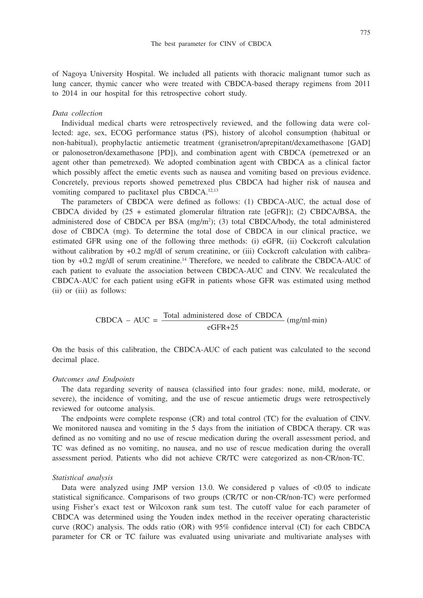of Nagoya University Hospital. We included all patients with thoracic malignant tumor such as lung cancer, thymic cancer who were treated with CBDCA-based therapy regimens from 2011 to 2014 in our hospital for this retrospective cohort study.

#### *Data collection*

Individual medical charts were retrospectively reviewed, and the following data were collected: age, sex, ECOG performance status (PS), history of alcohol consumption (habitual or non-habitual), prophylactic antiemetic treatment (granisetron/aprepitant/dexamethasone [GAD] or palonosetron/dexamethasone [PD]), and combination agent with CBDCA (pemetrexed or an agent other than pemetrexed). We adopted combination agent with CBDCA as a clinical factor which possibly affect the emetic events such as nausea and vomiting based on previous evidence. Concretely, previous reports showed pemetrexed plus CBDCA had higher risk of nausea and vomiting compared to paclitaxel plus CBDCA.12,13

The parameters of CBDCA were defined as follows: (1) CBDCA-AUC, the actual dose of CBDCA divided by  $(25 +$  estimated glomerular filtration rate [eGFR]); (2) CBDCA/BSA, the administered dose of CBDCA per BSA (mg/m2 ); (3) total CBDCA/body, the total administered dose of CBDCA (mg). To determine the total dose of CBDCA in our clinical practice, we estimated GFR using one of the following three methods: (i) eGFR, (ii) Cockcroft calculation without calibration by  $+0.2$  mg/dl of serum creatinine, or (iii) Cockcroft calculation with calibration by +0.2 mg/dl of serum creatinine.<sup>14</sup> Therefore, we needed to calibrate the CBDCA-AUC of each patient to evaluate the association between CBDCA-AUC and CINV. We recalculated the CBDCA-AUC for each patient using eGFR in patients whose GFR was estimated using method (ii) or (iii) as follows:

$$
CBDCA - AUC = \frac{\text{Total administered dose of CBDCA}}{\text{eGFR} + 25} \text{ (mg/ml-min)}
$$

On the basis of this calibration, the CBDCA-AUC of each patient was calculated to the second decimal place.

#### *Outcomes and Endpoints*

The data regarding severity of nausea (classified into four grades: none, mild, moderate, or severe), the incidence of vomiting, and the use of rescue antiemetic drugs were retrospectively reviewed for outcome analysis.

The endpoints were complete response (CR) and total control (TC) for the evaluation of CINV. We monitored nausea and vomiting in the 5 days from the initiation of CBDCA therapy. CR was defined as no vomiting and no use of rescue medication during the overall assessment period, and TC was defined as no vomiting, no nausea, and no use of rescue medication during the overall assessment period. Patients who did not achieve CR/TC were categorized as non-CR/non-TC.

#### *Statistical analysis*

Data were analyzed using JMP version 13.0. We considered p values of  $\langle 0.05 \rangle$  to indicate statistical significance. Comparisons of two groups (CR/TC or non-CR/non-TC) were performed using Fisher's exact test or Wilcoxon rank sum test. The cutoff value for each parameter of CBDCA was determined using the Youden index method in the receiver operating characteristic curve (ROC) analysis. The odds ratio (OR) with 95% confidence interval (CI) for each CBDCA parameter for CR or TC failure was evaluated using univariate and multivariate analyses with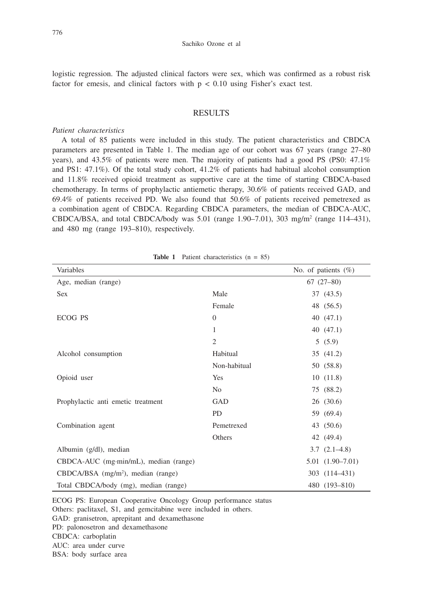logistic regression. The adjusted clinical factors were sex, which was confirmed as a robust risk factor for emesis, and clinical factors with  $p < 0.10$  using Fisher's exact test.

## RESULTS

#### *Patient characteristics*

A total of 85 patients were included in this study. The patient characteristics and CBDCA parameters are presented in Table 1. The median age of our cohort was 67 years (range 27–80 years), and 43.5% of patients were men. The majority of patients had a good PS (PS0: 47.1% and PS1: 47.1%). Of the total study cohort, 41.2% of patients had habitual alcohol consumption and 11.8% received opioid treatment as supportive care at the time of starting CBDCA-based chemotherapy. In terms of prophylactic antiemetic therapy, 30.6% of patients received GAD, and 69.4% of patients received PD. We also found that 50.6% of patients received pemetrexed as a combination agent of CBDCA. Regarding CBDCA parameters, the median of CBDCA-AUC, CBDCA/BSA, and total CBDCA/body was 5.01 (range 1.90–7.01), 303 mg/m<sup>2</sup> (range 114–431), and 480 mg (range 193–810), respectively.

| Variables                                      |                | No. of patients $(\%)$ |  |  |
|------------------------------------------------|----------------|------------------------|--|--|
| Age, median (range)                            |                | $67(27-80)$            |  |  |
| <b>Sex</b>                                     | Male           | 37 (43.5)              |  |  |
|                                                | Female         | 48 (56.5)              |  |  |
| ECOG PS                                        | $\Omega$       | 40(47.1)               |  |  |
|                                                | 1              | 40(47.1)               |  |  |
|                                                | $\overline{2}$ | 5(5.9)                 |  |  |
| Alcohol consumption                            | Habitual       | 35 (41.2)              |  |  |
|                                                | Non-habitual   | 50 (58.8)              |  |  |
| Opioid user                                    | Yes            | 10(11.8)               |  |  |
|                                                | N <sub>0</sub> | 75 (88.2)              |  |  |
| Prophylactic anti emetic treatment             | GAD            | 26(30.6)               |  |  |
|                                                | <b>PD</b>      | 59 (69.4)              |  |  |
| Combination agent                              | Pemetrexed     | 43 (50.6)              |  |  |
|                                                | Others         | 42 (49.4)              |  |  |
| Albumin (g/dl), median                         |                | $3.7(2.1-4.8)$         |  |  |
| CBDCA-AUC (mg·min/mL), median (range)          |                | $5.01(1.90 - 7.01)$    |  |  |
| CBDCA/BSA (mg/m <sup>2</sup> ), median (range) |                | 303 (114-431)          |  |  |
| Total CBDCA/body (mg), median (range)          |                | 480 (193-810)          |  |  |

Table 1 Patient characteristics (n = 85)

ECOG PS: European Cooperative Oncology Group performance status Others: paclitaxel, S1, and gemcitabine were included in others. GAD: granisetron, aprepitant and dexamethasone PD: palonosetron and dexamethasone CBDCA: carboplatin AUC: area under curve BSA: body surface area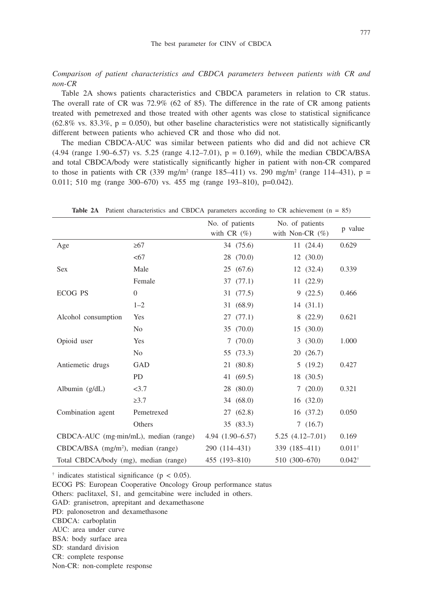*Comparison of patient characteristics and CBDCA parameters between patients with CR and non-CR*

Table 2A shows patients characteristics and CBDCA parameters in relation to CR status. The overall rate of CR was 72.9% (62 of 85). The difference in the rate of CR among patients treated with pemetrexed and those treated with other agents was close to statistical significance  $(62.8\% \text{ vs. } 83.3\%, \text{ p} = 0.050)$ , but other baseline characteristics were not statistically significantly different between patients who achieved CR and those who did not.

The median CBDCA-AUC was similar between patients who did and did not achieve CR  $(4.94 \text{ (range } 1.90 - 6.57) \text{ vs. } 5.25 \text{ (range } 4.12 - 7.01), p = 0.169)$ , while the median CBDCA/BSA and total CBDCA/body were statistically significantly higher in patient with non-CR compared to those in patients with CR (339 mg/m<sup>2</sup> (range 185–411) vs. 290 mg/m<sup>2</sup> (range 114–431),  $p =$ 0.011; 510 mg (range 300–670) vs. 455 mg (range 193–810), p=0.042).

|                                                  |                | No. of patients  | No. of patients     | p value           |
|--------------------------------------------------|----------------|------------------|---------------------|-------------------|
|                                                  |                | with $CR(\%)$    | with Non-CR $(\%)$  |                   |
| Age                                              | $\geq 67$      | 34 (75.6)        | 11(24.4)            | 0.629             |
|                                                  | <67            | 28 (70.0)        | 12(30.0)            |                   |
| Sex                                              | Male           | 25(67.6)         | 12(32.4)            | 0.339             |
|                                                  | Female         | 37(77.1)         | 11(22.9)            |                   |
| <b>ECOG PS</b>                                   | $\overline{0}$ | 31 (77.5)        | 9(22.5)             | 0.466             |
|                                                  | $1 - 2$        | 31 (68.9)        | 14(31.1)            |                   |
| Alcohol consumption                              | Yes            | 27(77.1)         | 8(22.9)             | 0.621             |
|                                                  | N <sub>0</sub> | 35 (70.0)        | 15(30.0)            |                   |
| Opioid user                                      | Yes            | 7(70.0)          | 3(30.0)             | 1.000             |
|                                                  | N <sub>0</sub> | 55 (73.3)        | 20(26.7)            |                   |
| Antiemetic drugs                                 | GAD            | 21 (80.8)        | 5(19.2)             | 0.427             |
|                                                  | <b>PD</b>      | 41 (69.5)        | 18 (30.5)           |                   |
| Albumin (g/dL)                                   | <3.7           | 28 (80.0)        | 7(20.0)             | 0.321             |
|                                                  | $\geq 3.7$     | 34 (68.0)        | 16(32.0)            |                   |
| Combination agent                                | Pemetrexed     | 27 (62.8)        | 16(37.2)            | 0.050             |
|                                                  | Others         | 35 (83.3)        | 7(16.7)             |                   |
| CBDCA-AUC (mg·min/mL), median (range)            |                | 4.94 (1.90-6.57) | $5.25(4.12 - 7.01)$ | 0.169             |
| $CBDCA/BSA$ (mg/m <sup>2</sup> ), median (range) |                | 290 (114-431)    | 339 (185-411)       | $0.011^{+}$       |
| Total CBDCA/body (mg), median (range)            |                | 455 (193-810)    | 510 (300-670)       | $0.042^{\dagger}$ |

Table 2A Patient characteristics and CBDCA parameters according to CR achievement (n = 85)

 $\dagger$  indicates statistical significance ( $p < 0.05$ ).

ECOG PS: European Cooperative Oncology Group performance status

Others: paclitaxel, S1, and gemcitabine were included in others.

GAD: granisetron, aprepitant and dexamethasone

PD: palonosetron and dexamethasone

CBDCA: carboplatin

AUC: area under curve

BSA: body surface area

SD: standard division

CR: complete response

Non-CR: non-complete response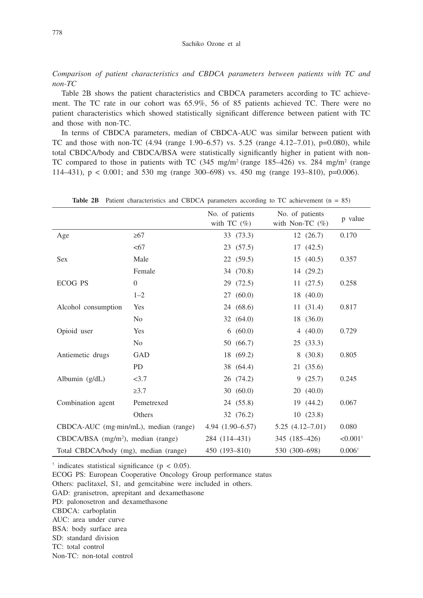*Comparison of patient characteristics and CBDCA parameters between patients with TC and non-TC*

Table 2B shows the patient characteristics and CBDCA parameters according to TC achievement. The TC rate in our cohort was 65.9%, 56 of 85 patients achieved TC. There were no patient characteristics which showed statistically significant difference between patient with TC and those with non-TC.

In terms of CBDCA parameters, median of CBDCA-AUC was similar between patient with TC and those with non-TC  $(4.94 \text{ (range } 1.90-6.57) \text{ vs. } 5.25 \text{ (range } 4.12-7.01), \text{ p=0.080}), \text{ while}$ total CBDCA/body and CBDCA/BSA were statistically significantly higher in patient with non-TC compared to those in patients with TC  $(345 \text{ mg/m}^2 \text{ (range 185–426) vs. } 284 \text{ mg/m}^2 \text{ (range)}$ 114–431), p < 0.001; and 530 mg (range 300–698) vs. 450 mg (range 193–810), p=0.006).

|                                                  |                | No. of patients<br>with TC $(\%)$ | No. of patients<br>with Non-TC $(\%)$ | p value             |
|--------------------------------------------------|----------------|-----------------------------------|---------------------------------------|---------------------|
| Age                                              | $\geq 67$      | 33 (73.3)                         | 12(26.7)                              | 0.170               |
|                                                  | <67            | 23 (57.5)                         | 17(42.5)                              |                     |
| <b>Sex</b>                                       | Male           | 22 (59.5)                         | 15(40.5)                              | 0.357               |
|                                                  | Female         | 34 (70.8)                         | 14 (29.2)                             |                     |
| <b>ECOG PS</b>                                   | $\overline{0}$ | 29 (72.5)                         | 11(27.5)                              | 0.258               |
|                                                  | $1 - 2$        | 27(60.0)                          | 18(40.0)                              |                     |
| Alcohol consumption                              | Yes            | 24 (68.6)                         | 11(31.4)                              | 0.817               |
|                                                  | N <sub>0</sub> | 32(64.0)                          | 18 (36.0)                             |                     |
| Opioid user                                      | Yes            | 6(60.0)                           | 4(40.0)                               | 0.729               |
|                                                  | No             | 50 (66.7)                         | 25(33.3)                              |                     |
| Antiemetic drugs                                 | GAD            | 18 (69.2)                         | 8(30.8)                               | 0.805               |
|                                                  | <b>PD</b>      | 38 (64.4)                         | 21(35.6)                              |                     |
| Albumin (g/dL)                                   | <3.7           | 26 (74.2)                         | 9(25.7)                               | 0.245               |
|                                                  | $\geq 3.7$     | 30(60.0)                          | 20(40.0)                              |                     |
| Combination agent                                | Pemetrexed     | 24 (55.8)                         | 19 (44.2)                             | 0.067               |
|                                                  | Others         | 32 (76.2)                         | 10(23.8)                              |                     |
| CBDCA-AUC (mg·min/mL), median (range)            |                | $4.94(1.90-6.57)$                 | $5.25(4.12 - 7.01)$                   | 0.080               |
| $CBDCA/BSA$ (mg/m <sup>2</sup> ), median (range) |                | 284 (114-431)                     | 345 (185-426)                         | $< 0.001^{\dagger}$ |
| Total CBDCA/body (mg), median (range)            |                | 450 (193-810)                     | 530 (300-698)                         |                     |

**Table 2B** Patient characteristics and CBDCA parameters according to TC achievement (n = 85)

 $\dagger$  indicates statistical significance ( $p < 0.05$ ).

ECOG PS: European Cooperative Oncology Group performance status

Others: paclitaxel, S1, and gemcitabine were included in others.

GAD: granisetron, aprepitant and dexamethasone

PD: palonosetron and dexamethasone

CBDCA: carboplatin

AUC: area under curve

BSA: body surface area

SD: standard division

TC: total control

Non-TC: non-total control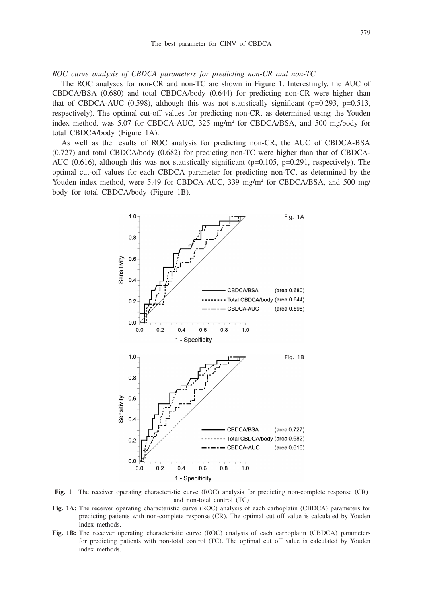*ROC curve analysis of CBDCA parameters for predicting non-CR and non-TC*

The ROC analyses for non-CR and non-TC are shown in Figure 1. Interestingly, the AUC of CBDCA/BSA (0.680) and total CBDCA/body (0.644) for predicting non-CR were higher than that of CBDCA-AUC (0.598), although this was not statistically significant ( $p=0.293$ ,  $p=0.513$ , respectively). The optimal cut-off values for predicting non-CR, as determined using the Youden index method, was 5.07 for CBDCA-AUC, 325 mg/m2 for CBDCA/BSA, and 500 mg/body for total CBDCA/body (Figure 1A).

As well as the results of ROC analysis for predicting non-CR, the AUC of CBDCA-BSA (0.727) and total CBDCA/body (0.682) for predicting non-TC were higher than that of CBDCA-AUC (0.616), although this was not statistically significant ( $p=0.105$ ,  $p=0.291$ , respectively). The optimal cut-off values for each CBDCA parameter for predicting non-TC, as determined by the Youden index method, were 5.49 for CBDCA-AUC, 339 mg/m<sup>2</sup> for CBDCA/BSA, and 500 mg/ body for total CBDCA/body (Figure 1B).



**Fig. 1** The receiver operating characteristic curve (ROC) analysis for predicting non-complete response (CR) and non-total control (TC)

- **Fig. 1A:** The receiver operating characteristic curve (ROC) analysis of each carboplatin (CBDCA) parameters for predicting patients with non-complete response (CR). The optimal cut off value is calculated by Youden index methods.
- **Fig. 1B:** The receiver operating characteristic curve (ROC) analysis of each carboplatin (CBDCA) parameters for predicting patients with non-total control (TC). The optimal cut off value is calculated by Youden index methods.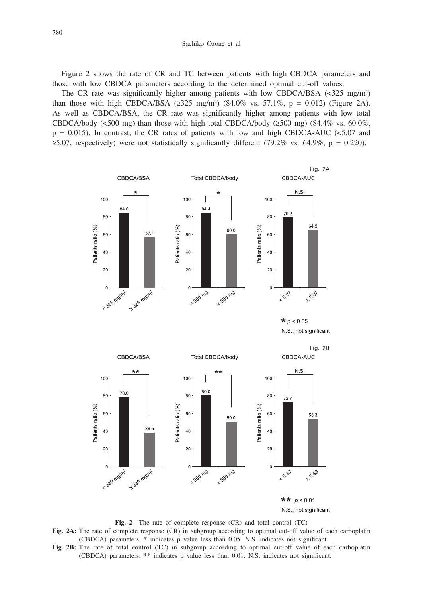Figure 2 shows the rate of CR and TC between patients with high CBDCA parameters and those with low CBDCA parameters according to the determined optimal cut-off values.

The CR rate was significantly higher among patients with low CBDCA/BSA  $\langle$ <325 mg/m<sup>2</sup>) than those with high CBDCA/BSA ( $\geq 325 \text{ mg/m}^2$ ) (84.0% vs. 57.1%,  $p = 0.012$ ) (Figure 2A). As well as CBDCA/BSA, the CR rate was significantly higher among patients with low total CBDCA/body (<500 mg) than those with high total CBDCA/body ( $\geq$ 500 mg) (84.4% vs. 60.0%,  $p = 0.015$ ). In contrast, the CR rates of patients with low and high CBDCA-AUC (<5.07 and  $\geq$ 5.07, respectively) were not statistically significantly different (79.2% vs. 64.9%, p = 0.220).



**Fig. 2** The rate of complete response (CR) and total control (TC)

**Fig. 2A:** The rate of complete response (CR) in subgroup according to optimal cut-off value of each carboplatin (CBDCA) parameters. \* indicates p value less than 0.05. N.S. indicates not significant.

**Fig. 2B:** The rate of total control (TC) in subgroup according to optimal cut-off value of each carboplatin (CBDCA) parameters. \*\* indicates p value less than 0.01. N.S. indicates not significant.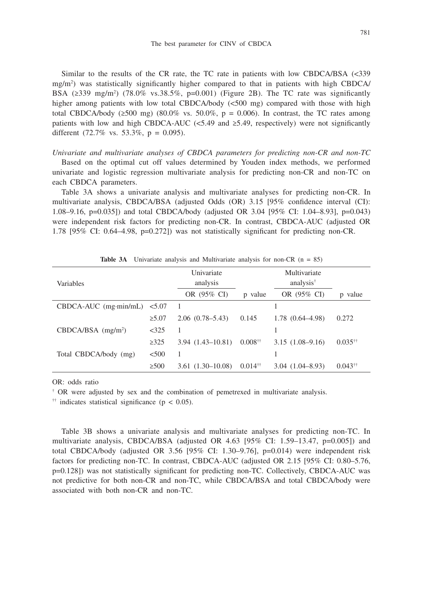Similar to the results of the CR rate, the TC rate in patients with low CBDCA/BSA (<339 mg/m2 ) was statistically significantly higher compared to that in patients with high CBDCA/ BSA  $(\geq 339 \text{ mg/m}^2)$  (78.0% vs.38.5%, p=0.001) (Figure 2B). The TC rate was significantly higher among patients with low total CBDCA/body (<500 mg) compared with those with high total CBDCA/body ( $\geq 500$  mg) (80.0% vs. 50.0%, p = 0.006). In contrast, the TC rates among patients with low and high CBDCA-AUC (<5.49 and  $\geq$ 5.49, respectively) were not significantly different  $(72.7\% \text{ vs. } 53.3\%, \text{ p} = 0.095)$ .

*Univariate and multivariate analyses of CBDCA parameters for predicting non-CR and non-TC*

Based on the optimal cut off values determined by Youden index methods, we performed univariate and logistic regression multivariate analysis for predicting non-CR and non-TC on each CBDCA parameters.

Table 3A shows a univariate analysis and multivariate analyses for predicting non-CR. In multivariate analysis, CBDCA/BSA (adjusted Odds (OR) 3.15 [95% confidence interval (CI): 1.08–9.16, p=0.035]) and total CBDCA/body (adjusted OR 3.04 [95% CI: 1.04–8.93], p=0.043) were independent risk factors for predicting non-CR. In contrast, CBDCA-AUC (adjusted OR 1.78 [95% CI: 0.64–4.98, p=0.272]) was not statistically significant for predicting non-CR.

| Variables                        |             | Univariate<br>analysis |                       | Multivariate<br>analysis <sup>†</sup> |                       |
|----------------------------------|-------------|------------------------|-----------------------|---------------------------------------|-----------------------|
|                                  |             | OR (95% CI)            | p value               | OR (95% CI)                           | value<br>D            |
| $CBDCA-AUC$ (mg·min/mL)          | < 5.07      |                        |                       |                                       |                       |
|                                  | $\geq 5.07$ | $2.06(0.78-5.43)$      | 0.145                 | $1.78(0.64 - 4.98)$                   | 0.272                 |
| $CBDCA/BSA$ (mg/m <sup>2</sup> ) | $<$ 325     |                        |                       |                                       |                       |
|                                  | $\geq 325$  | $3.94(1.43 - 10.81)$   | $0.008$ <sup>††</sup> | $3.15(1.08-9.16)$                     | $0.035^{+1}$          |
| Total CBDCA/body (mg)            | < 500       |                        |                       |                                       |                       |
|                                  | $\geq 500$  | $3.61(1.30-10.08)$     | $0.014$ <sup>††</sup> | $3.04(1.04 - 8.93)$                   | $0.043$ <sup>††</sup> |

**Table 3A** Univariate analysis and Multivariate analysis for non-CR  $(n = 85)$ 

OR: odds ratio

† OR were adjusted by sex and the combination of pemetrexed in multivariate analysis.

<sup> $\uparrow\uparrow$ </sup> indicates statistical significance (p < 0.05).

Table 3B shows a univariate analysis and multivariate analyses for predicting non-TC. In multivariate analysis, CBDCA/BSA (adjusted OR 4.63 [95% CI: 1.59–13.47, p=0.005]) and total CBDCA/body (adjusted OR 3.56 [95% CI: 1.30–9.76], p=0.014) were independent risk factors for predicting non-TC. In contrast, CBDCA-AUC (adjusted OR 2.15 [95% CI: 0.80–5.76, p=0.128]) was not statistically significant for predicting non-TC. Collectively, CBDCA-AUC was not predictive for both non-CR and non-TC, while CBDCA/BSA and total CBDCA/body were associated with both non-CR and non-TC.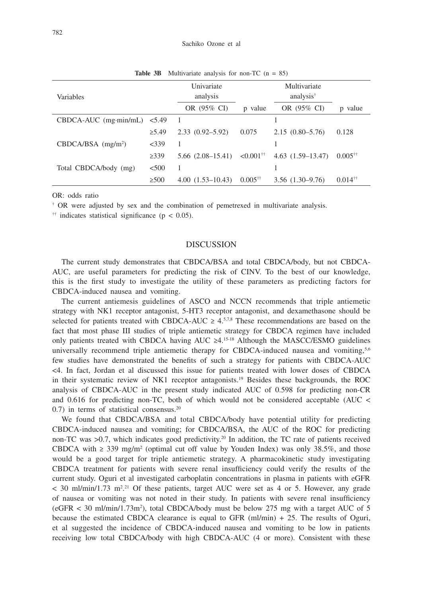| <b>Variables</b>                 |             | Univariate<br>analysis |                         | Multivariate<br>analysis <sup>†</sup> |                       |
|----------------------------------|-------------|------------------------|-------------------------|---------------------------------------|-----------------------|
|                                  |             | OR (95% CI)            | p value                 | OR (95% CI)                           | p value               |
| $CBDCA-AUC$ (mg·min/mL)          | 5.49        |                        |                         |                                       |                       |
|                                  | $\geq 5.49$ | $2.33(0.92 - 5.92)$    | 0.075                   | $2.15(0.80 - 5.76)$                   | 0.128                 |
| $CBDCA/BSA$ (mg/m <sup>2</sup> ) | $<$ 339     |                        |                         |                                       |                       |
|                                  | $\geq 339$  | $5.66$ $(2.08-15.41)$  | $< 0.001$ <sup>††</sup> | $4.63(1.59-13.47)$                    | $0.005$ <sup>††</sup> |
| Total CBDCA/body (mg)            | < 500       |                        |                         |                                       |                       |
|                                  | $\geq 500$  | $4.00(1.53 - 10.43)$   | $0.005$ <sup>††</sup>   | $3.56$ $(1.30 - 9.76)$                | $0.014$ <sup>††</sup> |

**Table 3B** Multivariate analysis for non-TC (n = 85)

OR: odds ratio

† OR were adjusted by sex and the combination of pemetrexed in multivariate analysis.

<sup>††</sup> indicates statistical significance ( $p < 0.05$ ).

#### DISCUSSION

The current study demonstrates that CBDCA/BSA and total CBDCA/body, but not CBDCA-AUC, are useful parameters for predicting the risk of CINV. To the best of our knowledge, this is the first study to investigate the utility of these parameters as predicting factors for CBDCA-induced nausea and vomiting.

The current antiemesis guidelines of ASCO and NCCN recommends that triple antiemetic strategy with NK1 receptor antagonist, 5-HT3 receptor antagonist, and dexamethasone should be selected for patients treated with CBDCA-AUC  $\geq 4.57.8$  These recommendations are based on the fact that most phase III studies of triple antiemetic strategy for CBDCA regimen have included only patients treated with CBDCA having AUC  $\geq 4.15-18$  Although the MASCC/ESMO guidelines universally recommend triple antiemetic therapy for CBDCA-induced nausea and vomiting, $5.6$ few studies have demonstrated the benefits of such a strategy for patients with CBDCA-AUC <4. In fact, Jordan et al discussed this issue for patients treated with lower doses of CBDCA in their systematic review of NK1 receptor antagonists.<sup>19</sup> Besides these backgrounds, the ROC analysis of CBDCA-AUC in the present study indicated AUC of 0.598 for predicting non-CR and 0.616 for predicting non-TC, both of which would not be considered acceptable (AUC < 0.7) in terms of statistical consensus.20

We found that CBDCA/BSA and total CBDCA/body have potential utility for predicting CBDCA-induced nausea and vomiting; for CBDCA/BSA, the AUC of the ROC for predicting non-TC was  $>0.7$ , which indicates good predictivity.<sup>20</sup> In addition, the TC rate of patients received CBDCA with  $\geq$  339 mg/m<sup>2</sup> (optimal cut off value by Youden Index) was only 38.5%, and those would be a good target for triple antiemetic strategy. A pharmacokinetic study investigating CBDCA treatment for patients with severe renal insufficiency could verify the results of the current study. Oguri et al investigated carboplatin concentrations in plasma in patients with eGFR  $<$  30 ml/min/1.73 m<sup>2,21</sup> Of these patients, target AUC were set as 4 or 5. However, any grade of nausea or vomiting was not noted in their study. In patients with severe renal insufficiency  $(eGFR < 30 \text{ ml/min}/1.73 \text{ m}^2)$ , total CBDCA/body must be below 275 mg with a target AUC of 5 because the estimated CBDCA clearance is equal to GFR (ml/min) + 25. The results of Oguri, et al suggested the incidence of CBDCA-induced nausea and vomiting to be low in patients receiving low total CBDCA/body with high CBDCA-AUC (4 or more). Consistent with these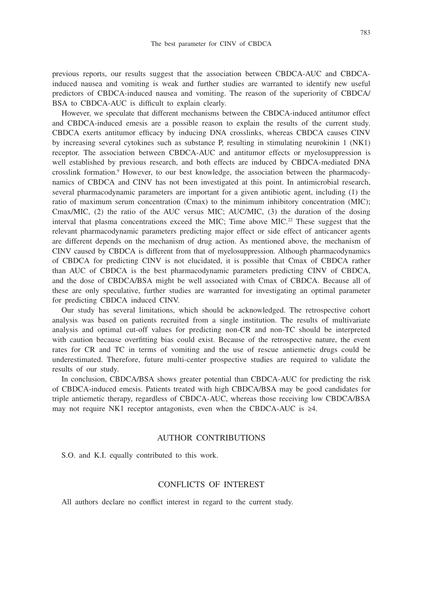previous reports, our results suggest that the association between CBDCA-AUC and CBDCAinduced nausea and vomiting is weak and further studies are warranted to identify new useful predictors of CBDCA-induced nausea and vomiting. The reason of the superiority of CBDCA/ BSA to CBDCA-AUC is difficult to explain clearly.

However, we speculate that different mechanisms between the CBDCA-induced antitumor effect and CBDCA-induced emesis are a possible reason to explain the results of the current study. CBDCA exerts antitumor efficacy by inducing DNA crosslinks, whereas CBDCA causes CINV by increasing several cytokines such as substance P, resulting in stimulating neurokinin 1 (NK1) receptor. The association between CBDCA-AUC and antitumor effects or myelosuppression is well established by previous research, and both effects are induced by CBDCA-mediated DNA crosslink formation.<sup>9</sup> However, to our best knowledge, the association between the pharmacodynamics of CBDCA and CINV has not been investigated at this point. In antimicrobial research, several pharmacodynamic parameters are important for a given antibiotic agent, including (1) the ratio of maximum serum concentration (Cmax) to the minimum inhibitory concentration (MIC); Cmax/MIC, (2) the ratio of the AUC versus MIC; AUC/MIC, (3) the duration of the dosing interval that plasma concentrations exceed the MIC; Time above MIC.<sup>22</sup> These suggest that the relevant pharmacodynamic parameters predicting major effect or side effect of anticancer agents are different depends on the mechanism of drug action. As mentioned above, the mechanism of CINV caused by CBDCA is different from that of myelosuppression. Although pharmacodynamics of CBDCA for predicting CINV is not elucidated, it is possible that Cmax of CBDCA rather than AUC of CBDCA is the best pharmacodynamic parameters predicting CINV of CBDCA, and the dose of CBDCA/BSA might be well associated with Cmax of CBDCA. Because all of these are only speculative, further studies are warranted for investigating an optimal parameter for predicting CBDCA induced CINV.

Our study has several limitations, which should be acknowledged. The retrospective cohort analysis was based on patients recruited from a single institution. The results of multivariate analysis and optimal cut-off values for predicting non-CR and non-TC should be interpreted with caution because overfitting bias could exist. Because of the retrospective nature, the event rates for CR and TC in terms of vomiting and the use of rescue antiemetic drugs could be underestimated. Therefore, future multi-center prospective studies are required to validate the results of our study.

In conclusion, CBDCA/BSA shows greater potential than CBDCA-AUC for predicting the risk of CBDCA-induced emesis. Patients treated with high CBDCA/BSA may be good candidates for triple antiemetic therapy, regardless of CBDCA-AUC, whereas those receiving low CBDCA/BSA may not require NK1 receptor antagonists, even when the CBDCA-AUC is  $\geq 4$ .

## AUTHOR CONTRIBUTIONS

S.O. and K.I. equally contributed to this work.

## CONFLICTS OF INTEREST

All authors declare no conflict interest in regard to the current study.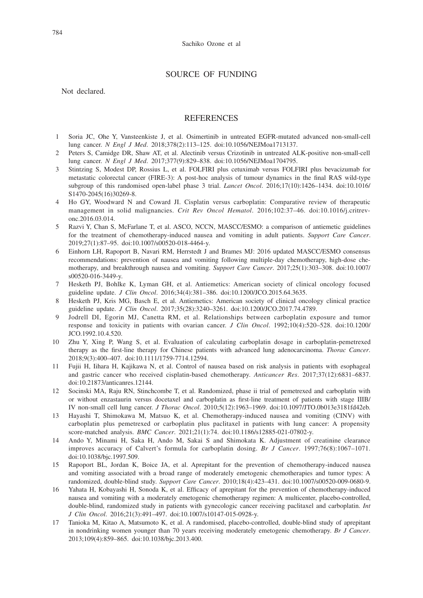## SOURCE OF FUNDING

Not declared.

#### **REFERENCES**

- 1 Soria JC, Ohe Y, Vansteenkiste J, et al. Osimertinib in untreated EGFR-mutated advanced non-small-cell lung cancer. *N Engl J Med*. 2018;378(2):113–125. doi:10.1056/NEJMoa1713137.
- 2 Peters S, Camidge DR, Shaw AT, et al. Alectinib versus Crizotinib in untreated ALK-positive non-small-cell lung cancer. *N Engl J Med*. 2017;377(9):829–838. doi:10.1056/NEJMoa1704795.
- 3 Stintzing S, Modest DP, Rossius L, et al. FOLFIRI plus cetuximab versus FOLFIRI plus bevacizumab for metastatic colorectal cancer (FIRE-3): A post-hoc analysis of tumour dynamics in the final RAS wild-type subgroup of this randomised open-label phase 3 trial. *Lancet Oncol*. 2016;17(10):1426–1434. doi:10.1016/ S1470-2045(16)30269-8.
- 4 Ho GY, Woodward N and Coward JI. Cisplatin versus carboplatin: Comparative review of therapeutic management in solid malignancies. *Crit Rev Oncol Hematol*. 2016;102:37–46. doi:10.1016/j.critrevonc.2016.03.014.
- 5 Razvi Y, Chan S, McFarlane T, et al. ASCO, NCCN, MASCC/ESMO: a comparison of antiemetic guidelines for the treatment of chemotherapy-induced nausea and vomiting in adult patients. *Support Care Cancer*. 2019;27(1):87–95. doi:10.1007/s00520-018-4464-y.
- 6 Einhorn LH, Rapoport B, Navari RM, Herrstedt J and Brames MJ: 2016 updated MASCC/ESMO consensus recommendations: prevention of nausea and vomiting following multiple-day chemotherapy, high-dose chemotherapy, and breakthrough nausea and vomiting. *Support Care Cancer*. 2017;25(1):303–308. doi:10.1007/ s00520-016-3449-y.
- 7 Hesketh PJ, Bohlke K, Lyman GH, et al. Antiemetics: American society of clinical oncology focused guideline update. *J Clin Oncol*. 2016;34(4):381–386. doi:10.1200/JCO.2015.64.3635.
- 8 Hesketh PJ, Kris MG, Basch E, et al. Antiemetics: American society of clinical oncology clinical practice guideline update. *J Clin Oncol*. 2017;35(28):3240–3261. doi:10.1200/JCO.2017.74.4789.
- 9 Jodrell DI, Egorin MJ, Canetta RM, et al. Relationships between carboplatin exposure and tumor response and toxicity in patients with ovarian cancer. *J Clin Oncol*. 1992;10(4):520–528. doi:10.1200/ JCO.1992.10.4.520.
- 10 Zhu Y, Xing P, Wang S, et al. Evaluation of calculating carboplatin dosage in carboplatin-pemetrexed therapy as the first-line therapy for Chinese patients with advanced lung adenocarcinoma. *Thorac Cancer*. 2018;9(3):400–407. doi:10.1111/1759-7714.12594.
- 11 Fujii H, Iihara H, Kajikawa N, et al. Control of nausea based on risk analysis in patients with esophageal and gastric cancer who received cisplatin-based chemotherapy. *Anticancer Res*. 2017;37(12):6831–6837. doi:10.21873/anticanres.12144.
- 12 Socinski MA, Raju RN, Stinchcombe T, et al. Randomized, phase ii trial of pemetrexed and carboplatin with or without enzastaurin versus docetaxel and carboplatin as first-line treatment of patients with stage IIIB/ IV non-small cell lung cancer. *J Thorac Oncol*. 2010;5(12):1963–1969. doi:10.1097/JTO.0b013e3181fd42eb.
- 13 Hayashi T, Shimokawa M, Matsuo K, et al. Chemotherapy-induced nausea and vomiting (CINV) with carboplatin plus pemetrexed or carboplatin plus paclitaxel in patients with lung cancer: A propensity score-matched analysis. *BMC Cancer*. 2021;21(1):74. doi:10.1186/s12885-021-07802-y.
- 14 Ando Y, Minami H, Saka H, Ando M, Sakai S and Shimokata K. Adjustment of creatinine clearance improves accuracy of Calvert's formula for carboplatin dosing. *Br J Cancer*. 1997;76(8):1067–1071. doi:10.1038/bjc.1997.509.
- 15 Rapoport BL, Jordan K, Boice JA, et al. Aprepitant for the prevention of chemotherapy-induced nausea and vomiting associated with a broad range of moderately emetogenic chemotherapies and tumor types: A randomized, double-blind study. *Support Care Cancer*. 2010;18(4):423–431. doi:10.1007/s00520-009-0680-9.
- 16 Yahata H, Kobayashi H, Sonoda K, et al. Efficacy of aprepitant for the prevention of chemotherapy-induced nausea and vomiting with a moderately emetogenic chemotherapy regimen: A multicenter, placebo-controlled, double-blind, randomized study in patients with gynecologic cancer receiving paclitaxel and carboplatin. *Int J Clin Oncol*. 2016;21(3):491–497. doi:10.1007/s10147-015-0928-y.
- 17 Tanioka M, Kitao A, Matsumoto K, et al. A randomised, placebo-controlled, double-blind study of aprepitant in nondrinking women younger than 70 years receiving moderately emetogenic chemotherapy. *Br J Cancer*. 2013;109(4):859–865. doi:10.1038/bjc.2013.400.